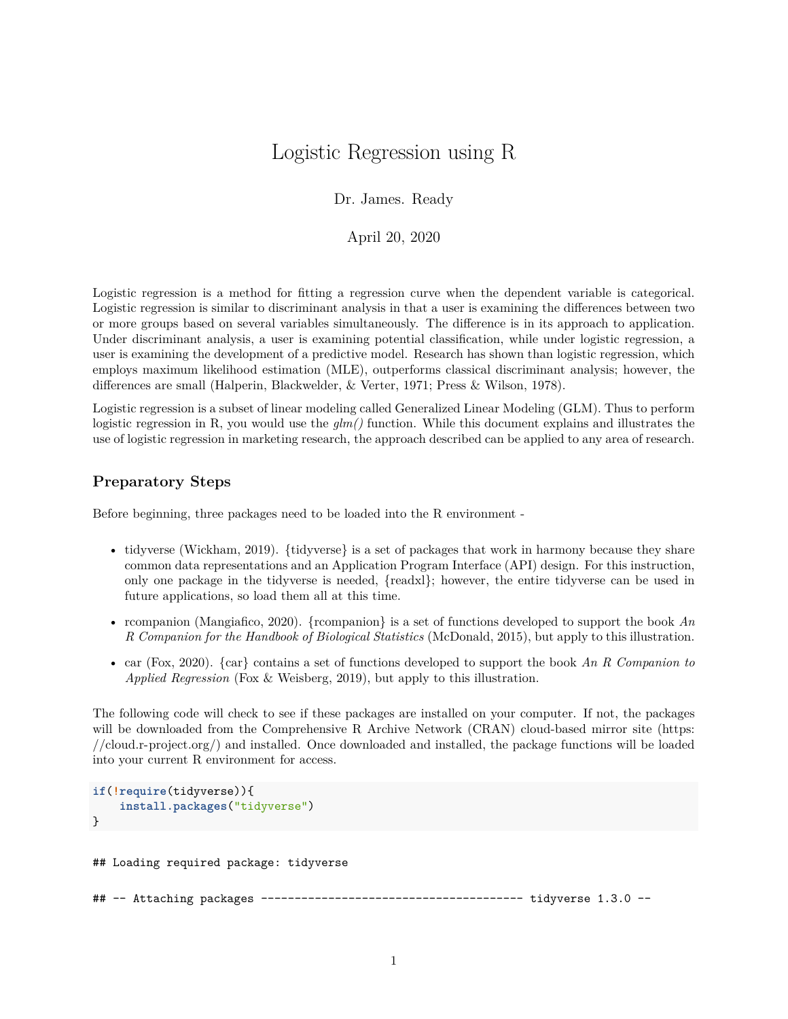## Logistic Regression using R

Dr. James. Ready

April 20, 2020

Logistic regression is a method for fitting a regression curve when the dependent variable is categorical. Logistic regression is similar to discriminant analysis in that a user is examining the differences between two or more groups based on several variables simultaneously. The difference is in its approach to application. Under discriminant analysis, a user is examining potential classification, while under logistic regression, a user is examining the development of a predictive model. Research has shown than logistic regression, which employs maximum likelihood estimation (MLE), outperforms classical discriminant analysis; however, the differences are small (Halperin, Blackwelder, & Verter, 1971; Press & Wilson, 1978).

Logistic regression is a subset of linear modeling called Generalized Linear Modeling (GLM). Thus to perform logistic regression in R, you would use the *glm()* function. While this document explains and illustrates the use of logistic regression in marketing research, the approach described can be applied to any area of research.

### **Preparatory Steps**

Before beginning, three packages need to be loaded into the R environment -

- tidyverse (Wickham, 2019). {tidyverse} is a set of packages that work in harmony because they share common data representations and an Application Program Interface (API) design. For this instruction, only one package in the tidyverse is needed, {readxl}; however, the entire tidyverse can be used in future applications, so load them all at this time.
- rcompanion (Mangiafico, 2020). {rcompanion} is a set of functions developed to support the book *An R Companion for the Handbook of Biological Statistics* (McDonald, 2015), but apply to this illustration.
- car (Fox, 2020). {car} contains a set of functions developed to support the book *An R Companion to Applied Regression* (Fox & Weisberg, 2019), but apply to this illustration.

The following code will check to see if these packages are installed on your computer. If not, the packages will be downloaded from the Comprehensive R Archive Network (CRAN) cloud-based mirror site [\(https:](https://cloud.r-project.org/) [//cloud.r-project.org/\)](https://cloud.r-project.org/) and installed. Once downloaded and installed, the package functions will be loaded into your current R environment for access.

```
if(!require(tidyverse)){
    install.packages("tidyverse")
}
```
## Loading required package: tidyverse

## -- Attaching packages --------------------------------------- tidyverse 1.3.0 --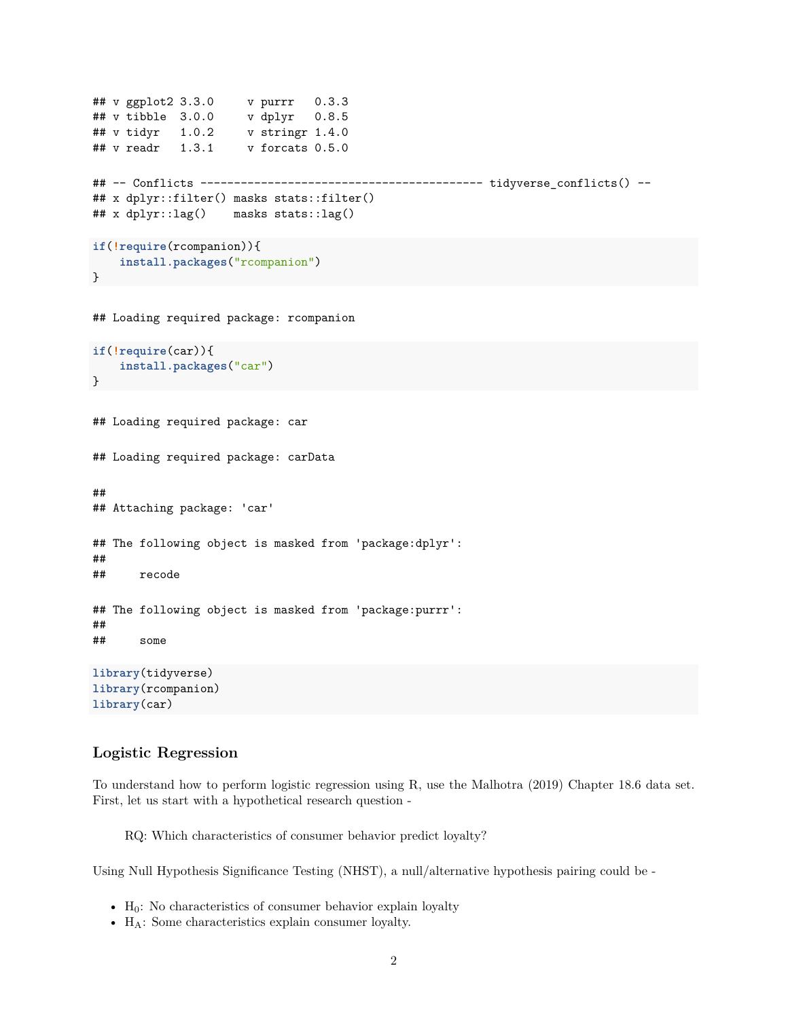```
## v ggplot2 3.3.0 v purrr 0.3.3
## v tibble 3.0.0 v dplyr 0.8.5
## v tidyr 1.0.2 v stringr 1.4.0
## v readr 1.3.1 v forcats 0.5.0
## -- Conflicts ------------------------------------------ tidyverse_conflicts() --
## x dplyr::filter() masks stats::filter()
## x dplyr::lag() masks stats::lag()
if(!require(rcompanion)){
    install.packages("rcompanion")
}
## Loading required package: rcompanion
if(!require(car)){
    install.packages("car")
}
## Loading required package: car
## Loading required package: carData
##
## Attaching package: 'car'
## The following object is masked from 'package:dplyr':
##
## recode
## The following object is masked from 'package:purrr':
##
## some
library(tidyverse)
library(rcompanion)
library(car)
```
### **Logistic Regression**

To understand how to perform logistic regression using R, use the Malhotra (2019) Chapter 18.6 data set. First, let us start with a hypothetical research question -

RQ: Which characteristics of consumer behavior predict loyalty?

Using Null Hypothesis Significance Testing (NHST), a null/alternative hypothesis pairing could be -

- $H_0$ : No characteristics of consumer behavior explain loyalty
- H<sub>A</sub>: Some characteristics explain consumer loyalty.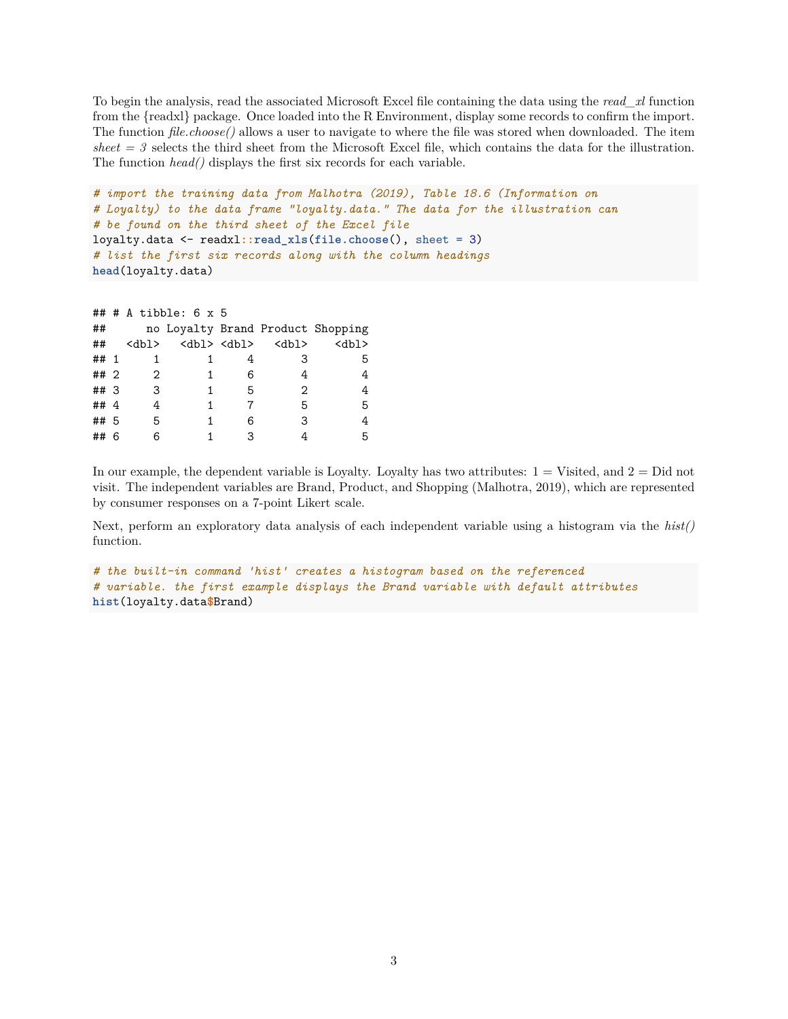To begin the analysis, read the associated Microsoft Excel file containing the data using the *read\_xl* function from the {readxl} package. Once loaded into the R Environment, display some records to confirm the import. The function *file.choose()* allows a user to navigate to where the file was stored when downloaded. The item  $sheet = 3$  selects the third sheet from the Microsoft Excel file, which contains the data for the illustration. The function *head()* displays the first six records for each variable.

```
# import the training data from Malhotra (2019), Table 18.6 (Information on
# Loyalty) to the data frame "loyalty.data." The data for the illustration can
# be found on the third sheet of the Excel file
loyalty.data <- readxl::read_xls(file.choose(), sheet = 3)
# list the first six records along with the column headings
head(loyalty.data)
```

```
## # A tibble: 6 x 5
```

|          |             |           |   |             | no Loyalty Brand Product Shopping |
|----------|-------------|-----------|---|-------------|-----------------------------------|
| ##       | <dbl></dbl> | db1> db1> |   | <dbl></dbl> | $<$ dbl $>$                       |
| ## 1     |             |           |   | З           | 5                                 |
| ## 2     | 2           |           | 6 | 4           | 4                                 |
| ## 3     | 3           |           | 5 | 2           | 4                                 |
| ## $4$   |             |           |   | 5           | 5                                 |
| ## 5     | 5           |           | 6 | 3           |                                   |
| ##<br>-6 | 6           |           | 3 |             | 5                                 |

In our example, the dependent variable is Loyalty. Loyalty has two attributes:  $1 = V$ isited, and  $2 = Did$  not visit. The independent variables are Brand, Product, and Shopping (Malhotra, 2019), which are represented by consumer responses on a 7-point Likert scale.

Next, perform an exploratory data analysis of each independent variable using a histogram via the *hist()* function.

```
# the built-in command 'hist' creates a histogram based on the referenced
# variable. the first example displays the Brand variable with default attributes
hist(loyalty.data$Brand)
```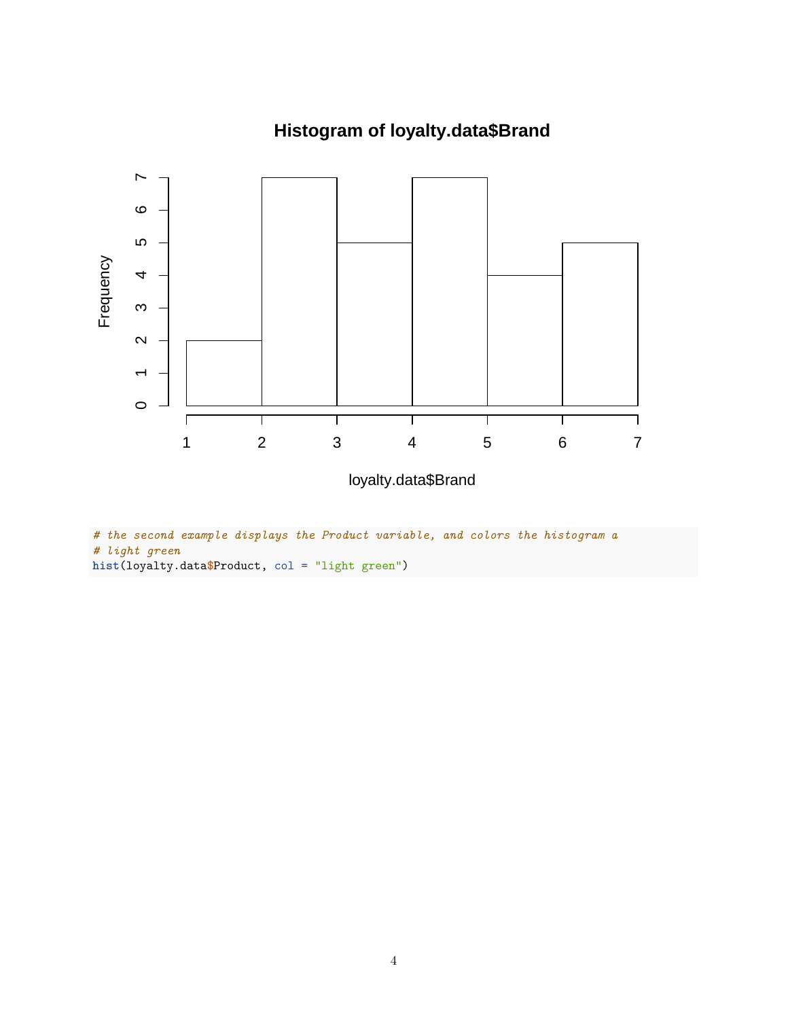

# **Histogram of loyalty.data\$Brand**

*# the second example displays the Product variable, and colors the histogram a # light green* **hist**(loyalty.data**\$**Product, col = "light green")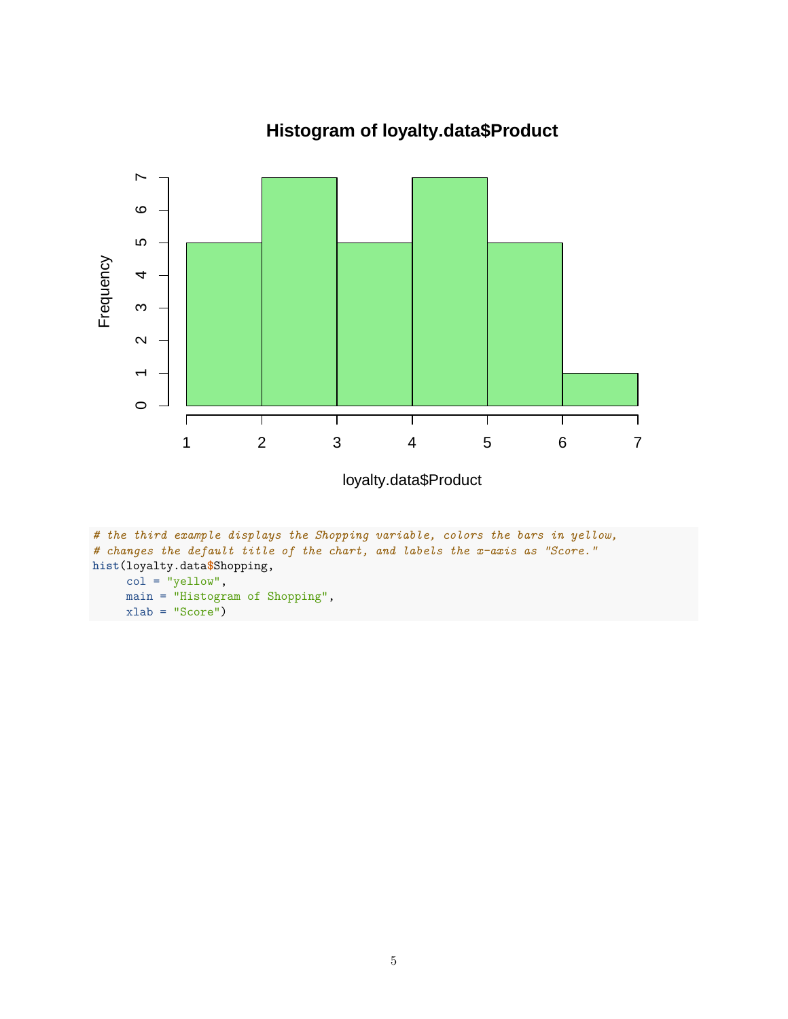

# **Histogram of loyalty.data\$Product**

```
# the third example displays the Shopping variable, colors the bars in yellow,
# changes the default title of the chart, and labels the x-axis as "Score."
hist(loyalty.data$Shopping,
     col = "yellow",main = "Histogram of Shopping",
    xlab = "Score")
```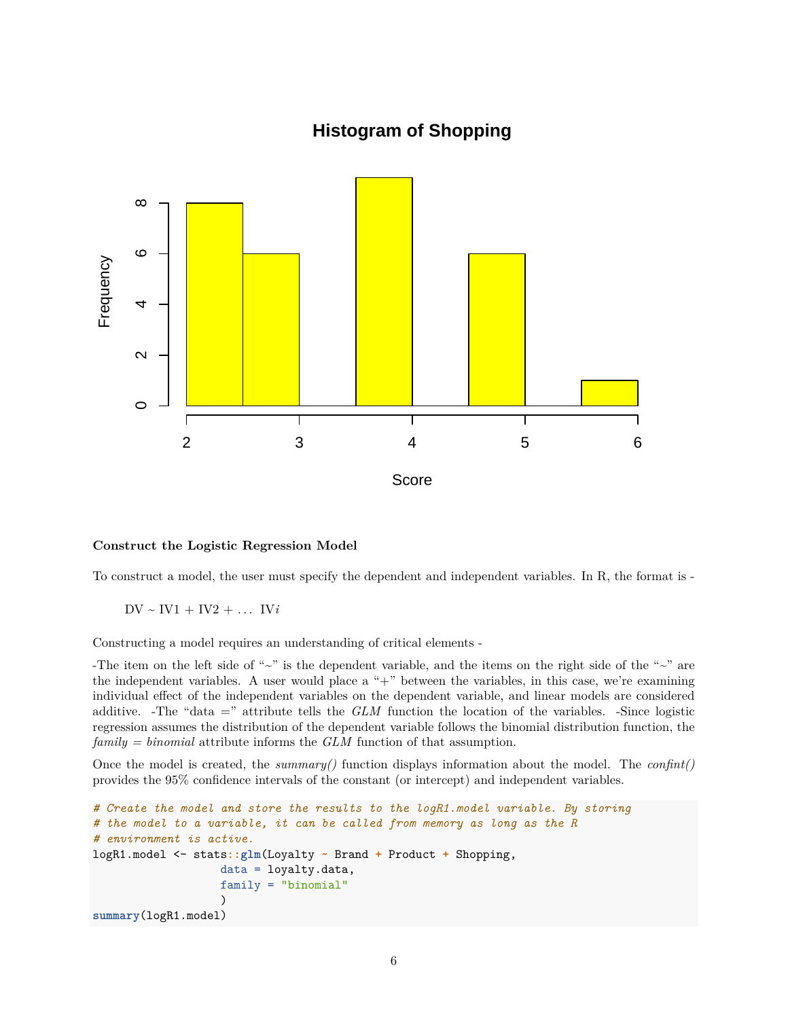## **Histogram of Shopping**



### **Construct the Logistic Regression Model**

To construct a model, the user must specify the dependent and independent variables. In R, the format is -

 $DV \sim IV1 + IV2 + ... IVi$ 

Constructing a model requires an understanding of critical elements -

-The item on the left side of " $\sim$ " is the dependent variable, and the items on the right side of the " $\sim$ " are the independent variables. A user would place a "+" between the variables, in this case, we're examining individual effect of the independent variables on the dependent variable, and linear models are considered additive. -The "data =" attribute tells the *GLM* function the location of the variables. -Since logistic regression assumes the distribution of the dependent variable follows the binomial distribution function, the *family = binomial* attribute informs the *GLM* function of that assumption.

Once the model is created, the *summary()* function displays information about the model. The *confint()* provides the 95% confidence intervals of the constant (or intercept) and independent variables.

```
# Create the model and store the results to the logR1.model variable. By storing
# the model to a variable, it can be called from memory as long as the R
# environment is active.
logR1.model <- stats::glm(Loyalty ~ Brand + Product + Shopping,
                   data = loyalty.data,
                   family = "binomial"
                   )
summary(logR1.model)
```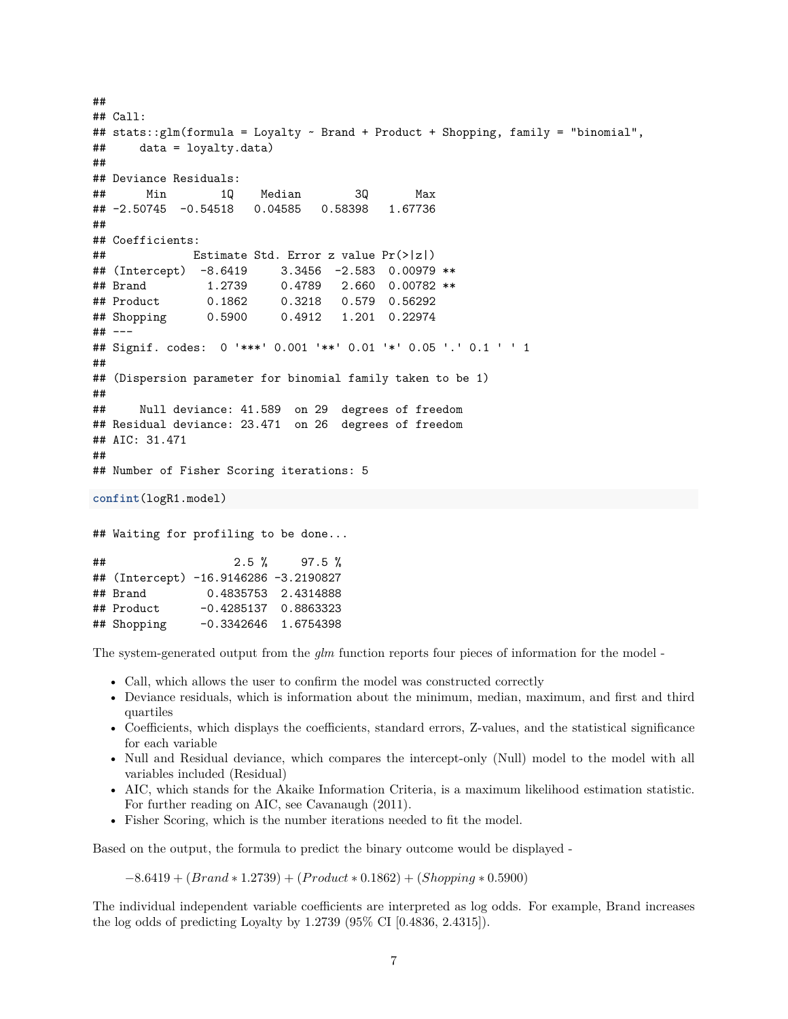```
##
## Call:
## stats::glm(formula = Loyalty ~ Brand + Product + Shopping, family = "binomial",
## data = loyalty.data)
##
## Deviance Residuals:
## Min 1Q Median 3Q Max
## -2.50745 -0.54518 0.04585 0.58398 1.67736
##
## Coefficients:
## Estimate Std. Error z value Pr(>|z|)
## (Intercept) -8.6419 3.3456 -2.583 0.00979 **
## Brand 1.2739 0.4789 2.660 0.00782 **
## Product 0.1862 0.3218 0.579 0.56292
## Shopping 0.5900 0.4912 1.201 0.22974
## ---
## Signif. codes: 0 '***' 0.001 '**' 0.01 '*' 0.05 '.' 0.1 ' ' 1
##
## (Dispersion parameter for binomial family taken to be 1)
##
## Null deviance: 41.589 on 29 degrees of freedom
## Residual deviance: 23.471 on 26 degrees of freedom
## AIC: 31.471
##
## Number of Fisher Scoring iterations: 5
confint(logR1.model)
## Waiting for profiling to be done...
## 2.5 % 97.5 %
## (Intercept) -16.9146286 -3.2190827
## Brand 0.4835753 2.4314888
## Product -0.4285137 0.8863323
## Shopping -0.3342646 1.6754398
```
The system-generated output from the *glm* function reports four pieces of information for the model -

- Call, which allows the user to confirm the model was constructed correctly
- Deviance residuals, which is information about the minimum, median, maximum, and first and third quartiles
- Coefficients, which displays the coefficients, standard errors, Z-values, and the statistical significance for each variable
- Null and Residual deviance, which compares the intercept-only (Null) model to the model with all variables included (Residual)
- AIC, which stands for the Akaike Information Criteria, is a maximum likelihood estimation statistic. For further reading on AIC, see Cavanaugh (2011).
- Fisher Scoring, which is the number iterations needed to fit the model.

Based on the output, the formula to predict the binary outcome would be displayed -

−8*.*6419 + (*Brand* ∗ 1*.*2739) + (*P roduct* ∗ 0*.*1862) + (*Shopping* ∗ 0*.*5900)

The individual independent variable coefficients are interpreted as log odds. For example, Brand increases the log odds of predicting Loyalty by 1.2739 (95% CI [0.4836, 2.4315]).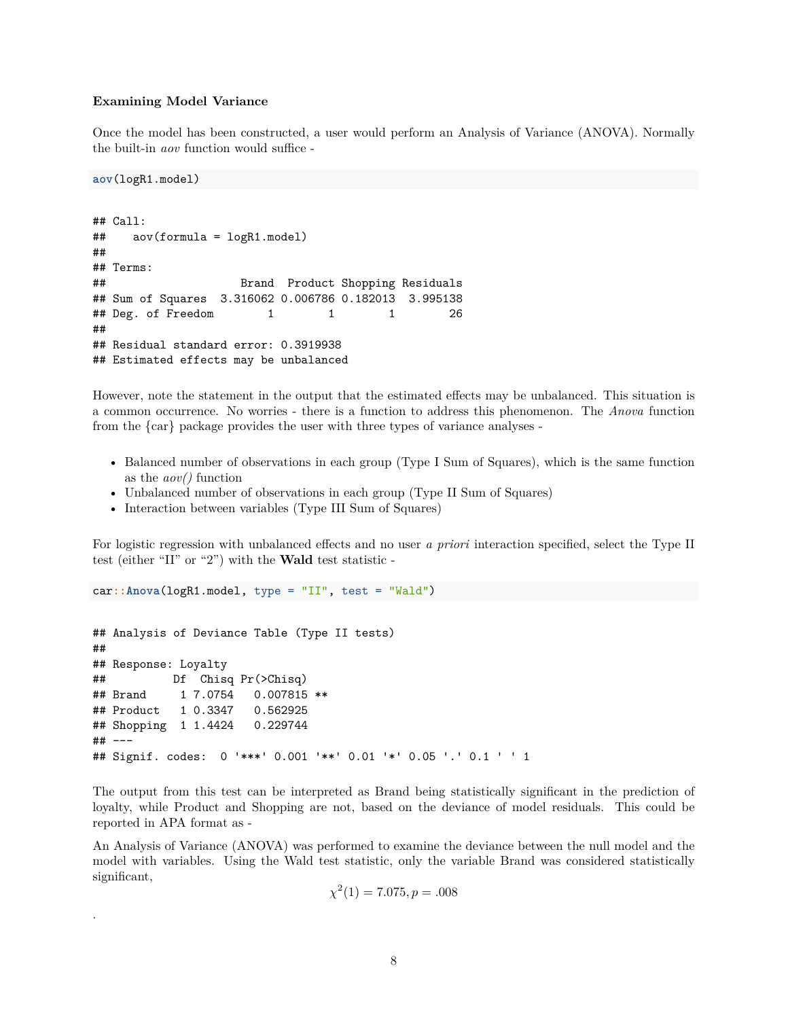#### **Examining Model Variance**

Once the model has been constructed, a user would perform an Analysis of Variance (ANOVA). Normally the built-in *aov* function would suffice -

**aov**(logR1.model)

.

```
## Call:
## aov(formula = logR1.model)
##
## Terms:
## Brand Product Shopping Residuals
## Sum of Squares 3.316062 0.006786 0.182013 3.995138
\## Deg. of Freedom 1 1 1 26
##
## Residual standard error: 0.3919938
## Estimated effects may be unbalanced
```
However, note the statement in the output that the estimated effects may be unbalanced. This situation is a common occurrence. No worries - there is a function to address this phenomenon. The *Anova* function from the {car} package provides the user with three types of variance analyses -

- Balanced number of observations in each group (Type I Sum of Squares), which is the same function as the *aov()* function
- Unbalanced number of observations in each group (Type II Sum of Squares)
- Interaction between variables (Type III Sum of Squares)

For logistic regression with unbalanced effects and no user *a priori* interaction specified, select the Type II test (either "II" or "2") with the **Wald** test statistic -

car**::Anova**(logR1.model, type = "II", test = "Wald")

```
## Analysis of Deviance Table (Type II tests)
##
## Response: Loyalty
## Df Chisq Pr(>Chisq)
## Brand 1 7.0754 0.007815 **
## Product 1 0.3347 0.562925
## Shopping 1 1.4424 0.229744
## ---
## Signif. codes: 0 '***' 0.001 '**' 0.01 '*' 0.05 '.' 0.1 ' ' 1
```
The output from this test can be interpreted as Brand being statistically significant in the prediction of loyalty, while Product and Shopping are not, based on the deviance of model residuals. This could be reported in APA format as -

An Analysis of Variance (ANOVA) was performed to examine the deviance between the null model and the model with variables. Using the Wald test statistic, only the variable Brand was considered statistically significant,

$$
\chi^2(1) = 7.075, p = .008
$$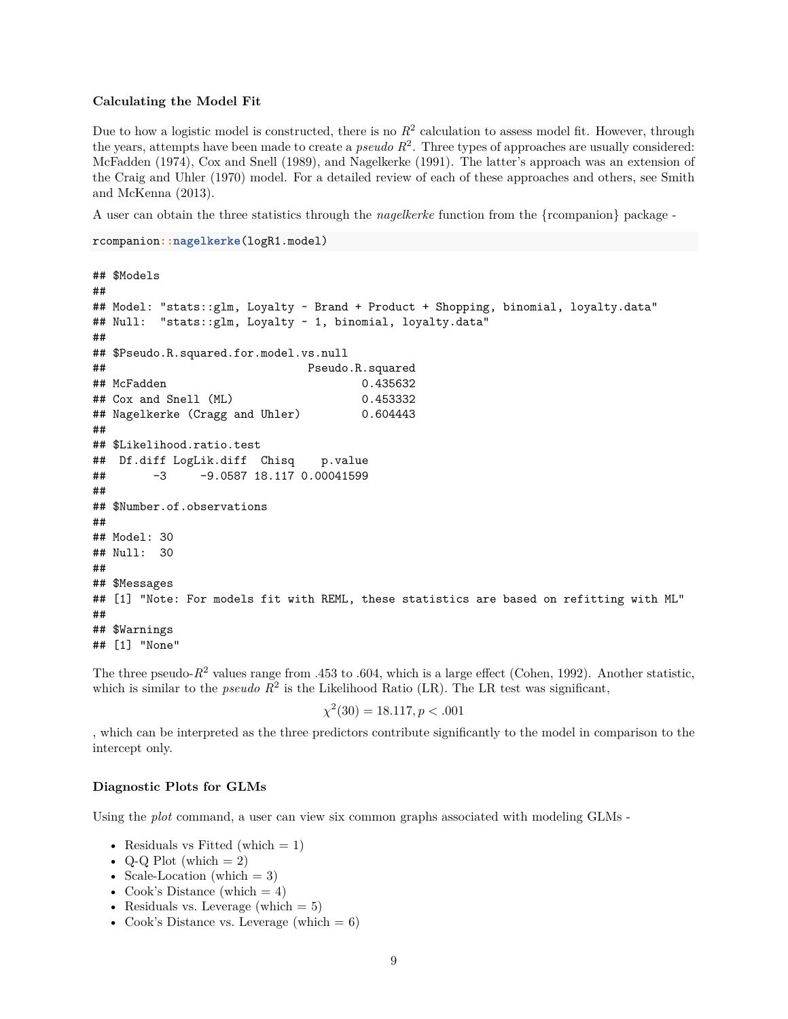### **Calculating the Model Fit**

Due to how a logistic model is constructed, there is no  $R^2$  calculation to assess model fit. However, through the years, attempts have been made to create a *pseudo R*<sup>2</sup> . Three types of approaches are usually considered: McFadden (1974), Cox and Snell (1989), and Nagelkerke (1991). The latter's approach was an extension of the Craig and Uhler (1970) model. For a detailed review of each of these approaches and others, see Smith and McKenna (2013).

A user can obtain the three statistics through the *nagelkerke* function from the {rcompanion} package -

```
rcompanion::nagelkerke(logR1.model)
```

```
## $Models
##
## Model: "stats::glm, Loyalty ~ Brand + Product + Shopping, binomial, loyalty.data"
## Null: "stats::glm, Loyalty ~ 1, binomial, loyalty.data"
##
## $Pseudo.R.squared.for.model.vs.null
## Pseudo.R.squared
## McFadden 0.435632
## Cox and Snell (ML) 0.453332
## Nagelkerke (Cragg and Uhler) 0.604443
##
## $Likelihood.ratio.test
## Df.diff LogLik.diff Chisq p.value
## -3 -9.0587 18.117 0.00041599
##
## $Number.of.observations
##
## Model: 30
## Null: 30
##
## $Messages
## [1] "Note: For models fit with REML, these statistics are based on refitting with ML"
##
## $Warnings
## [1] "None"
```
The three pseudo- $R^2$  values range from .453 to .604, which is a large effect (Cohen, 1992). Another statistic, which is similar to the *pseudo*  $R^2$  is the Likelihood Ratio (LR). The LR test was significant,

$$
\chi^2(30) = 18.117, p < .001
$$

, which can be interpreted as the three predictors contribute significantly to the model in comparison to the intercept only.

### **Diagnostic Plots for GLMs**

Using the *plot* command, a user can view six common graphs associated with modeling GLMs -

- Residuals vs Fitted (which  $= 1$ )
- Q-Q Plot (which  $= 2$ )
- Scale-Location (which  $= 3$ )
- Cook's Distance (which  $= 4$ )
- Residuals vs. Leverage (which  $= 5$ )
- Cook's Distance vs. Leverage (which  $= 6$ )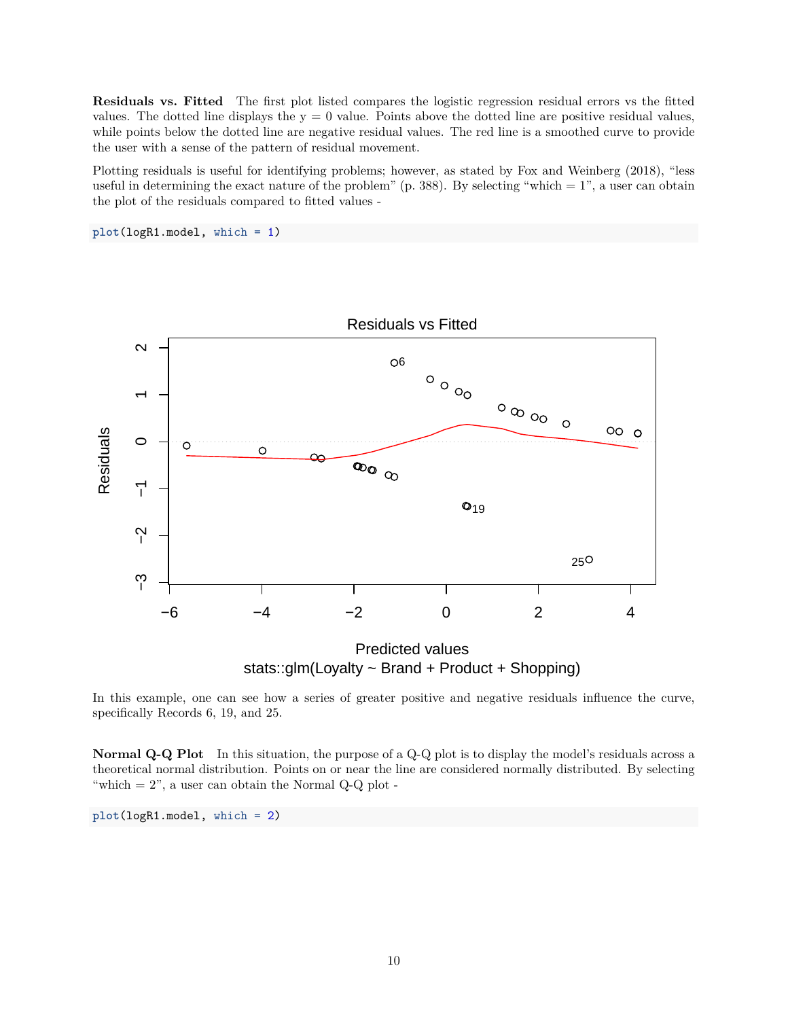**Residuals vs. Fitted** The first plot listed compares the logistic regression residual errors vs the fitted values. The dotted line displays the  $y = 0$  value. Points above the dotted line are positive residual values, while points below the dotted line are negative residual values. The red line is a smoothed curve to provide the user with a sense of the pattern of residual movement.

Plotting residuals is useful for identifying problems; however, as stated by Fox and Weinberg (2018), "less useful in determining the exact nature of the problem" (p. 388). By selecting "which  $= 1$ ", a user can obtain the plot of the residuals compared to fitted values -

**plot**(logR1.model, which = 1)



In this example, one can see how a series of greater positive and negative residuals influence the curve, specifically Records 6, 19, and 25.

**Normal Q-Q Plot** In this situation, the purpose of a Q-Q plot is to display the model's residuals across a theoretical normal distribution. Points on or near the line are considered normally distributed. By selecting "which  $= 2$ ", a user can obtain the Normal Q-Q plot -

**plot**(logR1.model, which = 2)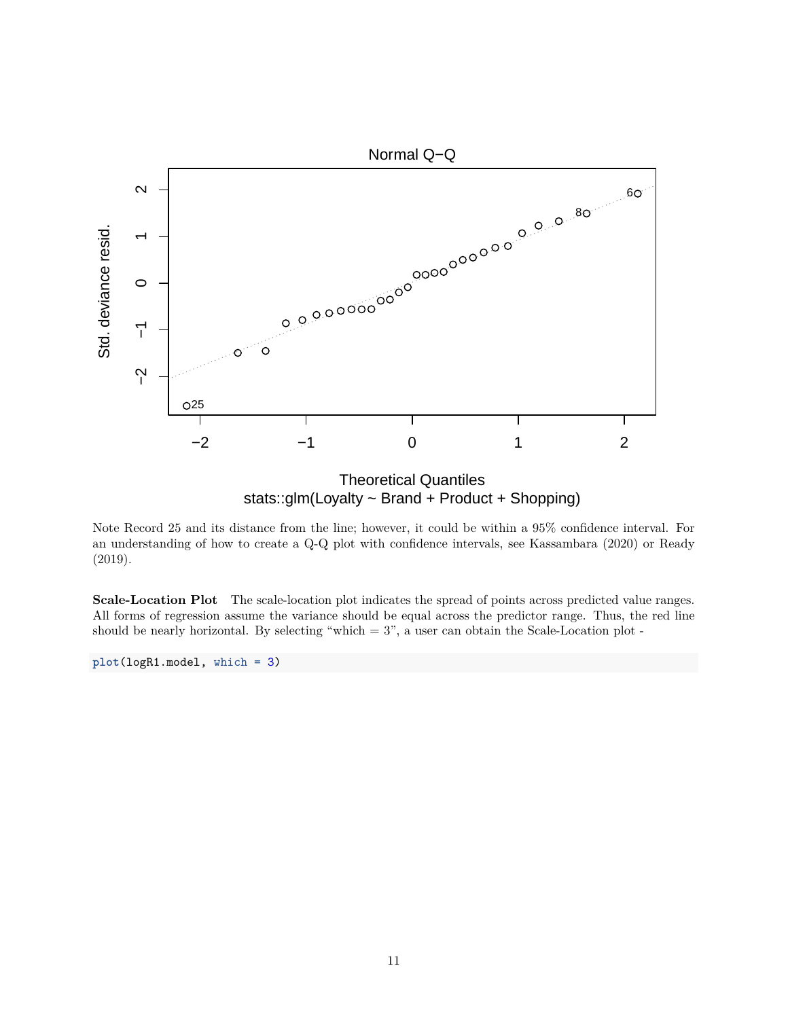

stats::glm(Loyalty ~ Brand + Product + Shopping)

Note Record 25 and its distance from the line; however, it could be within a 95% confidence interval. For an understanding of how to create a Q-Q plot with confidence intervals, see Kassambara (2020) or Ready (2019).

**Scale-Location Plot** The scale-location plot indicates the spread of points across predicted value ranges. All forms of regression assume the variance should be equal across the predictor range. Thus, the red line should be nearly horizontal. By selecting "which  $= 3$ ", a user can obtain the Scale-Location plot -

**plot**(logR1.model, which = 3)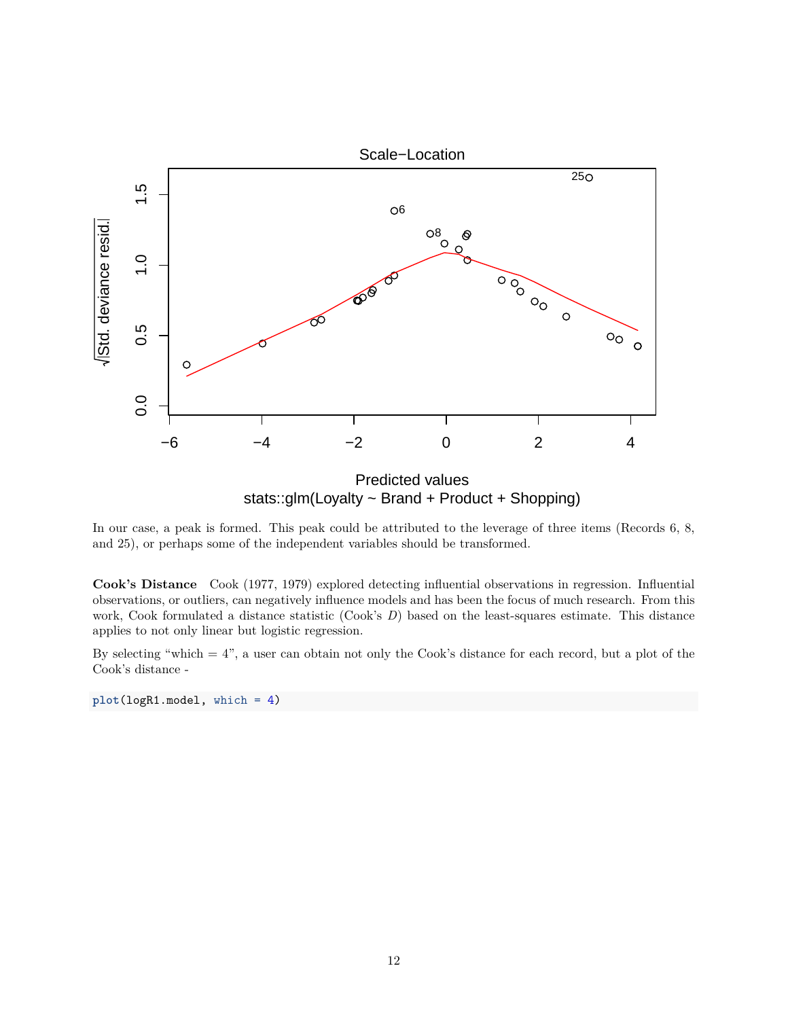

In our case, a peak is formed. This peak could be attributed to the leverage of three items (Records 6, 8, and 25), or perhaps some of the independent variables should be transformed.

**Cook's Distance** Cook (1977, 1979) explored detecting influential observations in regression. Influential observations, or outliers, can negatively influence models and has been the focus of much research. From this work, Cook formulated a distance statistic (Cook's *D*) based on the least-squares estimate. This distance applies to not only linear but logistic regression.

By selecting "which  $= 4$ ", a user can obtain not only the Cook's distance for each record, but a plot of the Cook's distance -

**plot**(logR1.model, which = 4)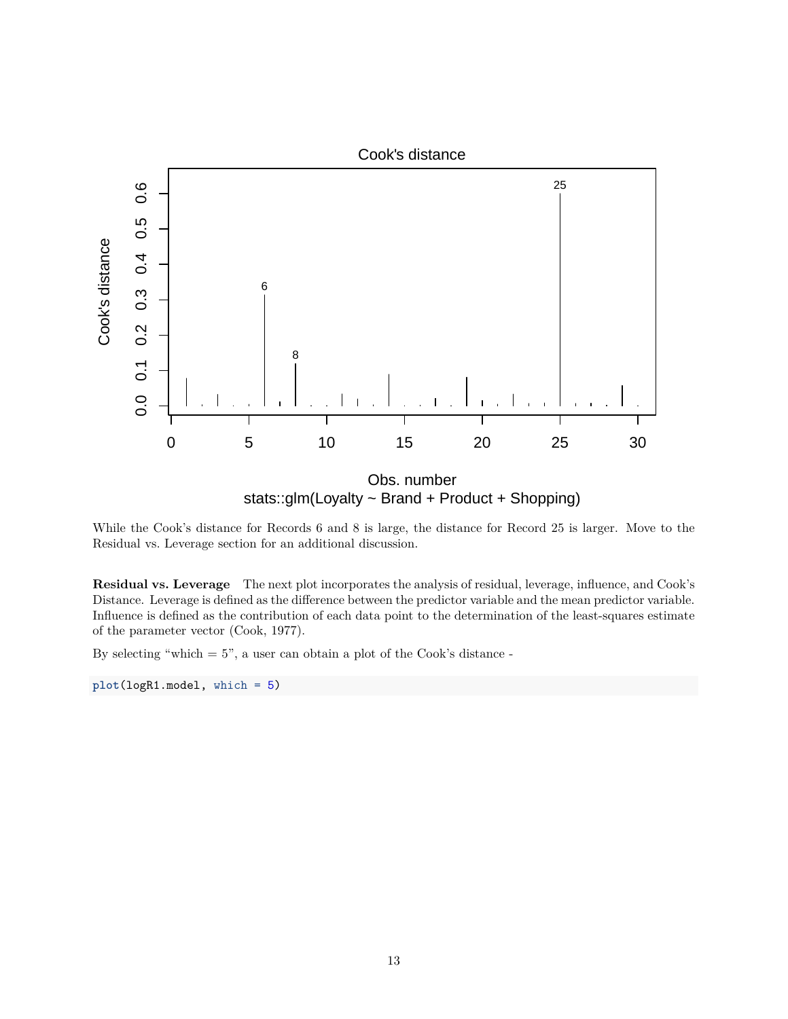

While the Cook's distance for Records 6 and 8 is large, the distance for Record 25 is larger. Move to the Residual vs. Leverage section for an additional discussion.

**Residual vs. Leverage** The next plot incorporates the analysis of residual, leverage, influence, and Cook's Distance. Leverage is defined as the difference between the predictor variable and the mean predictor variable. Influence is defined as the contribution of each data point to the determination of the least-squares estimate of the parameter vector (Cook, 1977).

By selecting "which  $= 5$ ", a user can obtain a plot of the Cook's distance -

**plot**(logR1.model, which = 5)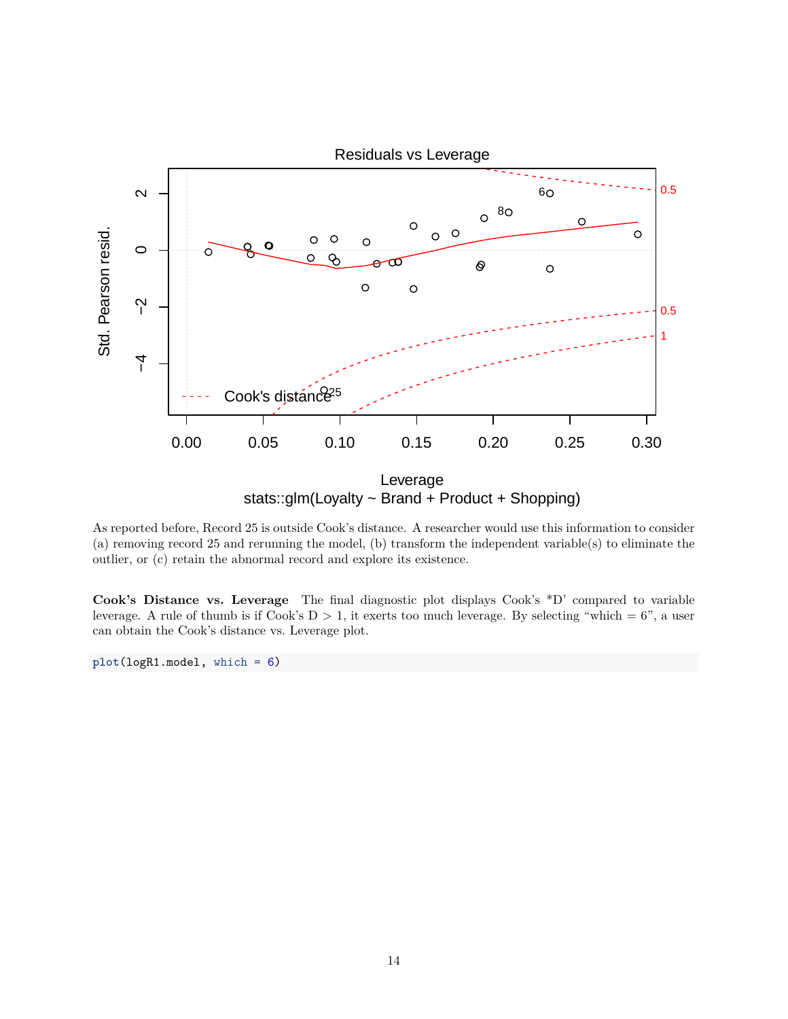

As reported before, Record 25 is outside Cook's distance. A researcher would use this information to consider (a) removing record 25 and rerunning the model, (b) transform the independent variable(s) to eliminate the outlier, or (c) retain the abnormal record and explore its existence.

**Cook's Distance vs. Leverage** The final diagnostic plot displays Cook's \*D' compared to variable leverage. A rule of thumb is if Cook's  $D > 1$ , it exerts too much leverage. By selecting "which = 6", a user can obtain the Cook's distance vs. Leverage plot.

**plot**(logR1.model, which = 6)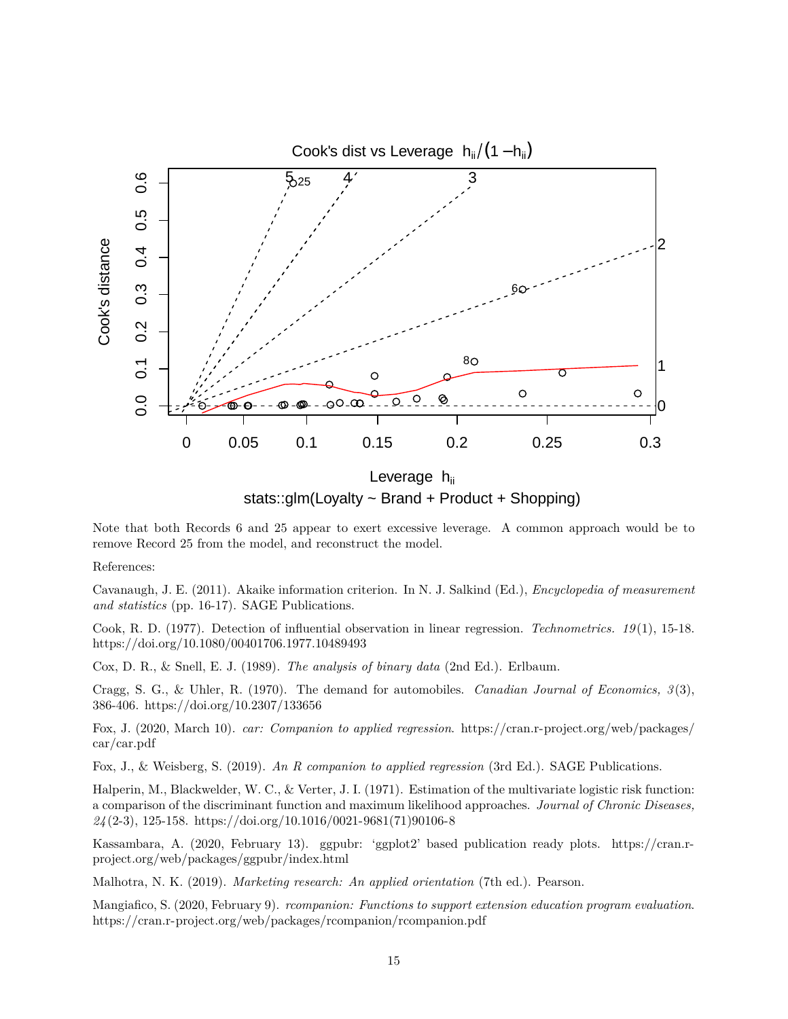

Note that both Records 6 and 25 appear to exert excessive leverage. A common approach would be to

remove Record 25 from the model, and reconstruct the model.

References:

Cavanaugh, J. E. (2011). Akaike information criterion. In N. J. Salkind (Ed.), *Encyclopedia of measurement and statistics* (pp. 16-17). SAGE Publications.

Cook, R. D. (1977). Detection of influential observation in linear regression. *Technometrics. 19* (1), 15-18. <https://doi.org/10.1080/00401706.1977.10489493>

Cox, D. R., & Snell, E. J. (1989). *The analysis of binary data* (2nd Ed.). Erlbaum.

Cragg, S. G., & Uhler, R. (1970). The demand for automobiles. *Canadian Journal of Economics, 3* (3), 386-406.<https://doi.org/10.2307/133656>

Fox, J. (2020, March 10). *car: Companion to applied regression*. [https://cran.r-project.org/web/packages/](https://cran.r-project.org/web/packages/car/car.pdf) [car/car.pdf](https://cran.r-project.org/web/packages/car/car.pdf)

Fox, J., & Weisberg, S. (2019). *An R companion to applied regression* (3rd Ed.). SAGE Publications.

Halperin, M., Blackwelder, W. C., & Verter, J. I. (1971). Estimation of the multivariate logistic risk function: a comparison of the discriminant function and maximum likelihood approaches. *Journal of Chronic Diseases, 24* (2-3), 125-158. [https://doi.org/10.1016/0021-9681\(71\)90106-8](https://doi.org/10.1016/0021-9681(71)90106-8)

Kassambara, A. (2020, February 13). ggpubr: 'ggplot2' based publication ready plots. [https://cran.r](https://cran.r-project.org/web/packages/ggpubr/index.html)[project.org/web/packages/ggpubr/index.html](https://cran.r-project.org/web/packages/ggpubr/index.html)

Malhotra, N. K. (2019). *Marketing research: An applied orientation* (7th ed.). Pearson.

Mangiafico, S. (2020, February 9). *rcompanion: Functions to support extension education program evaluation*. <https://cran.r-project.org/web/packages/rcompanion/rcompanion.pdf>